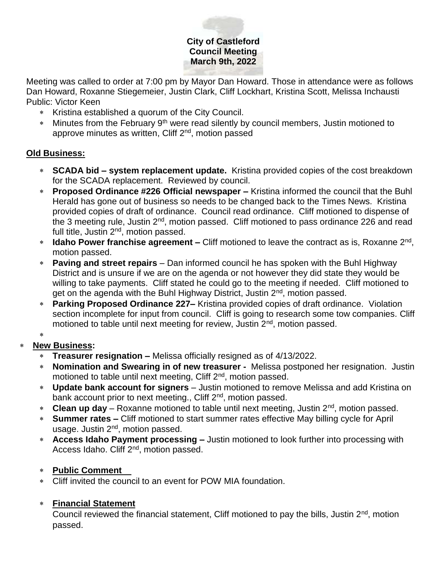# **City of Castleford Council Meeting March 9th, 2022**

Meeting was called to order at 7:00 pm by Mayor Dan Howard. Those in attendance were as follows Dan Howard, Roxanne Stiegemeier, Justin Clark, Cliff Lockhart, Kristina Scott, Melissa Inchausti Public: Victor Keen

- \* Kristina established a quorum of the City Council.
- \* Minutes from the February 9<sup>th</sup> were read silently by council members, Justin motioned to approve minutes as written, Cliff 2<sup>nd</sup>, motion passed

### **Old Business:**

- **SCADA bid – system replacement update.** Kristina provided copies of the cost breakdown for the SCADA replacement. Reviewed by council.
- **Proposed Ordinance #226 Official newspaper –** Kristina informed the council that the Buhl Herald has gone out of business so needs to be changed back to the Times News. Kristina provided copies of draft of ordinance. Council read ordinance. Cliff motioned to dispense of the 3 meeting rule, Justin 2<sup>nd</sup>, motion passed. Cliff motioned to pass ordinance 226 and read full title, Justin 2<sup>nd</sup>, motion passed.
- \* **Idaho Power franchise agreement –** Cliff motioned to leave the contract as is, Roxanne 2<sup>nd</sup>, motion passed.
- **Paving and street repairs**  Dan informed council he has spoken with the Buhl Highway District and is unsure if we are on the agenda or not however they did state they would be willing to take payments. Cliff stated he could go to the meeting if needed. Cliff motioned to get on the agenda with the Buhl Highway District, Justin 2<sup>nd</sup>, motion passed.
- **Parking Proposed Ordinance 227–** Kristina provided copies of draft ordinance. Violation section incomplete for input from council. Cliff is going to research some tow companies. Cliff motioned to table until next meeting for review, Justin 2<sup>nd</sup>, motion passed.

#### \*

## **New Business:**

- **Treasurer resignation –** Melissa officially resigned as of 4/13/2022.
- **Nomination and Swearing in of new treasurer** Melissa postponed her resignation. Justin motioned to table until next meeting, Cliff 2<sup>nd</sup>, motion passed.
- **Update bank account for signers** Justin motioned to remove Melissa and add Kristina on bank account prior to next meeting., Cliff 2<sup>nd</sup>, motion passed.
- **Clean up day** Roxanne motioned to table until next meeting, Justin 2nd, motion passed.
- **Summer rates –** Cliff motioned to start summer rates effective May billing cycle for April usage. Justin 2nd, motion passed.
- **Access Idaho Payment processing –** Justin motioned to look further into processing with Access Idaho. Cliff 2<sup>nd</sup>, motion passed.

#### **Public Comment**

Cliff invited the council to an event for POW MIA foundation.

## **Financial Statement**

Council reviewed the financial statement, Cliff motioned to pay the bills, Justin  $2<sup>nd</sup>$ , motion passed.